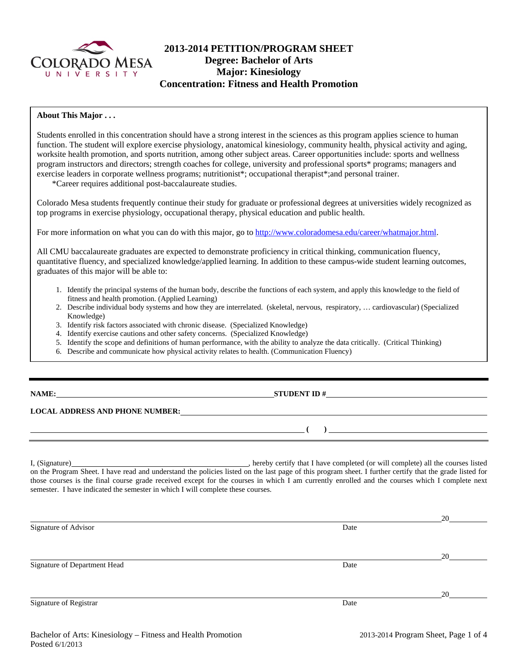

## **2013-2014 PETITION/PROGRAM SHEET Degree: Bachelor of Arts Major: Kinesiology Concentration: Fitness and Health Promotion**

### **About This Major . . .**

Students enrolled in this concentration should have a strong interest in the sciences as this program applies science to human function. The student will explore exercise physiology, anatomical kinesiology, community health, physical activity and aging, worksite health promotion, and sports nutrition, among other subject areas. Career opportunities include: sports and wellness program instructors and directors; strength coaches for college, university and professional sports\* programs; managers and exercise leaders in corporate wellness programs; nutritionist\*; occupational therapist\*;and personal trainer.

\*Career requires additional post-baccalaureate studies.

Colorado Mesa students frequently continue their study for graduate or professional degrees at universities widely recognized as top programs in exercise physiology, occupational therapy, physical education and public health.

For more information on what you can do with this major, go to http://www.coloradomesa.edu/career/whatmajor.html.

All CMU baccalaureate graduates are expected to demonstrate proficiency in critical thinking, communication fluency, quantitative fluency, and specialized knowledge/applied learning. In addition to these campus-wide student learning outcomes, graduates of this major will be able to:

- 1. Identify the principal systems of the human body, describe the functions of each system, and apply this knowledge to the field of fitness and health promotion. (Applied Learning)
- 2. Describe individual body systems and how they are interrelated. (skeletal, nervous, respiratory, … cardiovascular) (Specialized Knowledge)
- 3. Identify risk factors associated with chronic disease. (Specialized Knowledge)
- 4. Identify exercise cautions and other safety concerns. (Specialized Knowledge)
- 5. Identify the scope and definitions of human performance, with the ability to analyze the data critically. (Critical Thinking)
- 6. Describe and communicate how physical activity relates to health. (Communication Fluency)

| <b>NAME:</b> |  |
|--------------|--|
|              |  |

**NAMES ID A** STUDENT ID  $\#$ 

 **( )** 

## **LOCAL ADDRESS AND PHONE NUMBER:**

I, (Signature) , hereby certify that I have completed (or will complete) all the courses listed on the Program Sheet. I have read and understand the policies listed on the last page of this program sheet. I further certify that the grade listed for those courses is the final course grade received except for the courses in which I am currently enrolled and the courses which I complete next semester. I have indicated the semester in which I will complete these courses.

|                              |      | 20 |
|------------------------------|------|----|
| Signature of Advisor         | Date |    |
|                              |      |    |
|                              |      | 20 |
| Signature of Department Head | Date |    |
|                              |      |    |
|                              |      | 20 |
| Signature of Registrar       | Date |    |
|                              |      |    |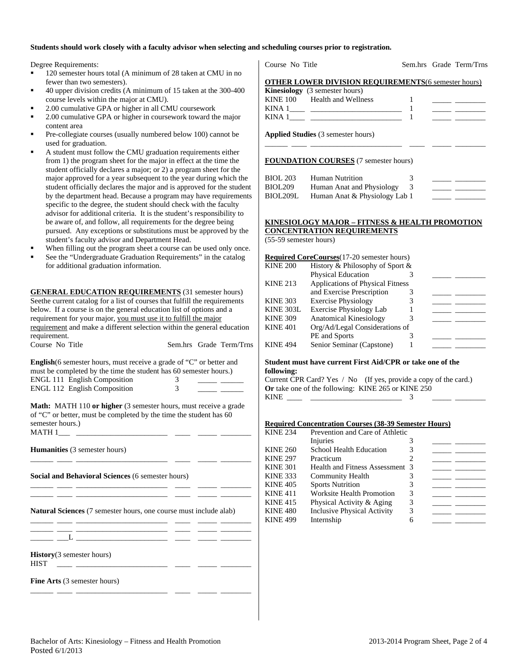#### **Students should work closely with a faculty advisor when selecting and scheduling courses prior to registration.**

Degree Requirements:

- <sup>120</sup> semester hours total (A minimum of 28 taken at CMU in no fewer than two semesters).
- 40 upper division credits (A minimum of 15 taken at the 300-400 course levels within the major at CMU).
- 2.00 cumulative GPA or higher in all CMU coursework
- 2.00 cumulative GPA or higher in coursework toward the major content area
- Pre-collegiate courses (usually numbered below 100) cannot be used for graduation.
- A student must follow the CMU graduation requirements either from 1) the program sheet for the major in effect at the time the student officially declares a major; or 2) a program sheet for the major approved for a year subsequent to the year during which the student officially declares the major and is approved for the student by the department head. Because a program may have requirements specific to the degree, the student should check with the faculty advisor for additional criteria. It is the student's responsibility to be aware of, and follow, all requirements for the degree being pursued. Any exceptions or substitutions must be approved by the student's faculty advisor and Department Head.
- When filling out the program sheet a course can be used only once.
- See the "Undergraduate Graduation Requirements" in the catalog for additional graduation information.

**GENERAL EDUCATION REQUIREMENTS** (31 semester hours) Seethe current catalog for a list of courses that fulfill the requirements below. If a course is on the general education list of options and a requirement for your major, you must use it to fulfill the major requirement and make a different selection within the general education requirement. Course No Title Sem.hrs Grade Term/Trns

| <b>English</b> (6 semester hours, must receive a grade of "C" or better and |          |  |
|-----------------------------------------------------------------------------|----------|--|
| must be completed by the time the student has 60 semester hours.)           |          |  |
| <b>ENGL 111 English Composition</b>                                         | $\Delta$ |  |
| ENGL 112 English Composition                                                |          |  |

**Math:** MATH 110 or higher (3 semester hours, must receive a grade of "C" or better, must be completed by the time the student has 60 semester hours.)  $MATH 1$ <sub>\_\_\_\_</sub> \_

\_\_\_\_\_\_ \_\_\_\_ \_\_\_\_\_\_\_\_\_\_\_\_\_\_\_\_\_\_\_\_\_\_\_\_ \_\_\_\_ \_\_\_\_\_ \_\_\_\_\_\_\_\_

\_\_\_\_\_\_ \_\_\_\_ \_\_\_\_\_\_\_\_\_\_\_\_\_\_\_\_\_\_\_\_\_\_\_\_ \_\_\_\_ \_\_\_\_\_ \_\_\_\_\_\_\_\_ \_\_\_\_\_\_ \_\_\_\_ \_\_\_\_\_\_\_\_\_\_\_\_\_\_\_\_\_\_\_\_\_\_\_\_ \_\_\_\_ \_\_\_\_\_ \_\_\_\_\_\_\_\_

\_\_\_\_\_\_ \_\_\_\_ \_\_\_\_\_\_\_\_\_\_\_\_\_\_\_\_\_\_\_\_\_\_\_\_ \_\_\_\_ \_\_\_\_\_ \_\_\_\_\_\_\_\_

\_\_\_\_\_\_ \_\_\_\_ \_\_\_\_\_\_\_\_\_\_\_\_\_\_\_\_\_\_\_\_\_\_\_\_ \_\_\_\_ \_\_\_\_\_ \_\_\_\_\_\_\_\_

**Humanities** (3 semester hours)

**Social and Behavioral Sciences** (6 semester hours)

**Natural Sciences** (7 semester hours, one course must include alab)

\_\_\_\_\_\_ \_\_\_\_ \_\_\_\_\_\_\_\_\_\_\_\_\_\_\_\_\_\_\_\_\_\_\_\_ \_\_\_\_ \_\_\_\_\_ \_\_\_\_\_\_\_\_  $\frac{1}{\sqrt{2\pi}}$   $\frac{1}{\sqrt{2\pi}}$   $\frac{1}{\sqrt{2\pi}}$   $\frac{1}{\sqrt{2\pi}}$   $\frac{1}{\sqrt{2\pi}}$   $\frac{1}{\sqrt{2\pi}}$   $\frac{1}{\sqrt{2\pi}}$   $\frac{1}{\sqrt{2\pi}}$   $\frac{1}{\sqrt{2\pi}}$   $\frac{1}{\sqrt{2\pi}}$   $\frac{1}{\sqrt{2\pi}}$   $\frac{1}{\sqrt{2\pi}}$   $\frac{1}{\sqrt{2\pi}}$   $\frac{1}{\sqrt{2\pi}}$   $\frac{1}{\sqrt{2\$ 

**History**(3 semester hours)

 $HIST$  \_\_\_\_ \_\_\_\_

**Fine Arts** (3 semester hours)

|--|

Sem.hrs Grade Term/Trns

| <b>OTHER LOWER DIVISION REOUIREMENTS(6 semester hours)</b> |  |
|------------------------------------------------------------|--|
| <b>Kinesiology</b> (3 semester hours)                      |  |

| KINE 100 | Health and Wellness |  |  |
|----------|---------------------|--|--|
| KINA     |                     |  |  |
| KINA     |                     |  |  |

\_\_\_\_\_\_ \_\_\_\_ \_\_\_\_\_\_\_\_\_\_\_\_\_\_\_\_\_\_\_\_\_\_\_\_ \_\_\_\_ \_\_\_\_\_ \_\_\_\_\_\_\_\_

**Applied Studies** (3 semester hours)

#### **FOUNDATION COURSES** (7 semester hours)

| <b>BIOL 203</b> | Human Nutrition               |  |  |
|-----------------|-------------------------------|--|--|
| BIOL209         | Human Anat and Physiology     |  |  |
| BIOL209L        | Human Anat & Physiology Lab 1 |  |  |

## **KINESIOLOGY MAJOR – FITNESS & HEALTH PROMOTION CONCENTRATION REQUIREMENTS**

(55-59 semester hours)

#### **Required CoreCourses**(17-20 semester hours) KINE 200 History & Philosophy of Sport & Physical Education 3 KINE 213 Applications of Physical Fitness and Exercise Prescription 3 KINE 303 Exercise Physiology 3 KINE  $303L$  Exercise Physiology Lab  $1$ KINE 309 Anatomical Kinesiology 3 KINE 401 Org/Ad/Legal Considerations of PE and Sports 3 KINE 494 Senior Seminar (Capstone) 1

#### **Student must have current First Aid/CPR or take one of the following:**

|                                                           | Current CPR Card? Yes / No (If yes, provide a copy of the card.) |
|-----------------------------------------------------------|------------------------------------------------------------------|
| <b>Or</b> take one of the following: KINE 265 or KINE 250 |                                                                  |
| KINE                                                      |                                                                  |

#### **Required Concentration Courses (38-39 Semester Hours)**

| <b>KINE 234</b> | Prevention and Care of Athletic    |   |  |  |
|-----------------|------------------------------------|---|--|--|
|                 | Injuries                           |   |  |  |
| <b>KINE 260</b> | <b>School Health Education</b>     |   |  |  |
| <b>KINE 297</b> | Practicum                          |   |  |  |
| <b>KINE 301</b> | Health and Fitness Assessment 3    |   |  |  |
| <b>KINE 333</b> | Community Health                   |   |  |  |
| <b>KINE 405</b> | <b>Sports Nutrition</b>            |   |  |  |
| <b>KINE 411</b> | <b>Worksite Health Promotion</b>   | 3 |  |  |
| <b>KINE 415</b> | Physical Activity & Aging          |   |  |  |
| <b>KINE 480</b> | <b>Inclusive Physical Activity</b> | 3 |  |  |
| <b>KINE 499</b> | Internship                         |   |  |  |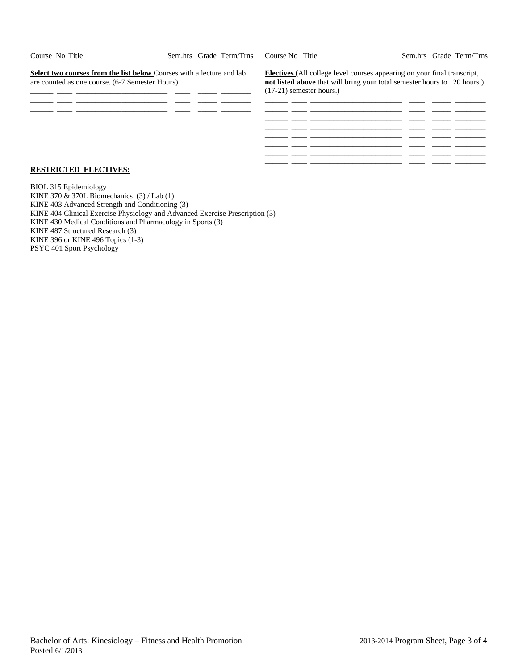| Course No Title                                                                                                                 |  | Sem.hrs Grade Term/Trns | Course No Title                                                                                                                                                                            |  | Sem.hrs Grade Term/Trns |
|---------------------------------------------------------------------------------------------------------------------------------|--|-------------------------|--------------------------------------------------------------------------------------------------------------------------------------------------------------------------------------------|--|-------------------------|
| <b>Select two courses from the list below Courses with a lecture and lab</b><br>are counted as one course. (6-7 Semester Hours) |  |                         | <b>Electives</b> (All college level courses appearing on your final transcript,<br>not listed above that will bring your total semester hours to 120 hours.)<br>$(17-21)$ semester hours.) |  |                         |
|                                                                                                                                 |  |                         |                                                                                                                                                                                            |  |                         |
|                                                                                                                                 |  |                         |                                                                                                                                                                                            |  |                         |
|                                                                                                                                 |  |                         |                                                                                                                                                                                            |  |                         |
|                                                                                                                                 |  |                         |                                                                                                                                                                                            |  |                         |

 $\overline{\phantom{a}}$ 

#### **RESTRICTED ELECTIVES:**

BIOL 315 Epidemiology KINE 370  $\&$  370L Biomechanics (3) / Lab (1) KINE 403 Advanced Strength and Conditioning (3) KINE 404 Clinical Exercise Physiology and Advanced Exercise Prescription (3) KINE 430 Medical Conditions and Pharmacology in Sports (3) KINE 487 Structured Research (3) KINE 396 or KINE 496 Topics (1-3) PSYC 401 Sport Psychology